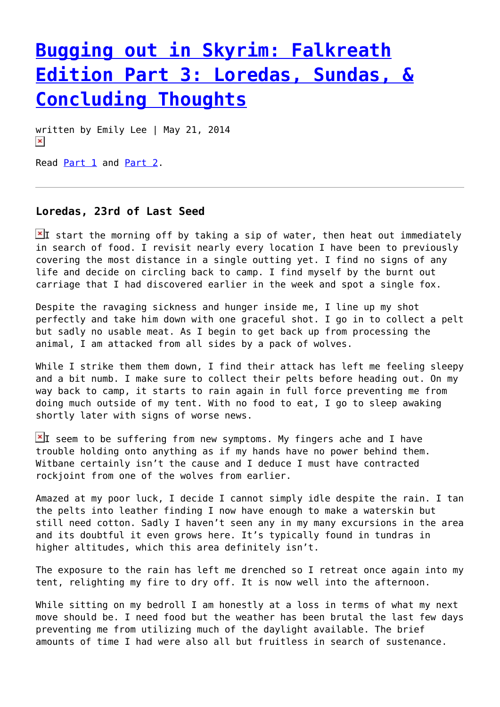## **[Bugging out in Skyrim: Falkreath](https://entropymag.org/bugging-out-in-skyrim-falkreath-edition-part-3-loredas-sundas-concluding-thoughts/) [Edition Part 3: Loredas, Sundas, &](https://entropymag.org/bugging-out-in-skyrim-falkreath-edition-part-3-loredas-sundas-concluding-thoughts/) [Concluding Thoughts](https://entropymag.org/bugging-out-in-skyrim-falkreath-edition-part-3-loredas-sundas-concluding-thoughts/)**

written by Emily Lee | May 21, 2014  $\pmb{\times}$ 

Read [Part 1](https://entropymag.org/?p=2457) and [Part 2](https://entropymag.org/?p=2575).

## **Loredas, 23rd of Last Seed**

I start the morning off by taking a sip of water, then heat out immediately in search of food. I revisit nearly every location I have been to previously covering the most distance in a single outting yet. I find no signs of any life and decide on circling back to camp. I find myself by the burnt out carriage that I had discovered earlier in the week and spot a single fox.

Despite the ravaging sickness and hunger inside me, I line up my shot perfectly and take him down with one graceful shot. I go in to collect a pelt but sadly no usable meat. As I begin to get back up from processing the animal, I am attacked from all sides by a pack of wolves.

While I strike them them down, I find their attack has left me feeling sleepy and a bit numb. I make sure to collect their pelts before heading out. On my way back to camp, it starts to rain again in full force preventing me from doing much outside of my tent. With no food to eat, I go to sleep awaking shortly later with signs of worse news.

 $\mathbb{Z}$ I seem to be suffering from new symptoms. My fingers ache and I have trouble holding onto anything as if my hands have no power behind them. Witbane certainly isn't the cause and I deduce I must have contracted rockjoint from one of the wolves from earlier.

Amazed at my poor luck, I decide I cannot simply idle despite the rain. I tan the pelts into leather finding I now have enough to make a waterskin but still need cotton. Sadly I haven't seen any in my many excursions in the area and its doubtful it even grows here. It's typically found in tundras in higher altitudes, which this area definitely isn't.

The exposure to the rain has left me drenched so I retreat once again into my tent, relighting my fire to dry off. It is now well into the afternoon.

While sitting on my bedroll I am honestly at a loss in terms of what my next move should be. I need food but the weather has been brutal the last few days preventing me from utilizing much of the daylight available. The brief amounts of time I had were also all but fruitless in search of sustenance.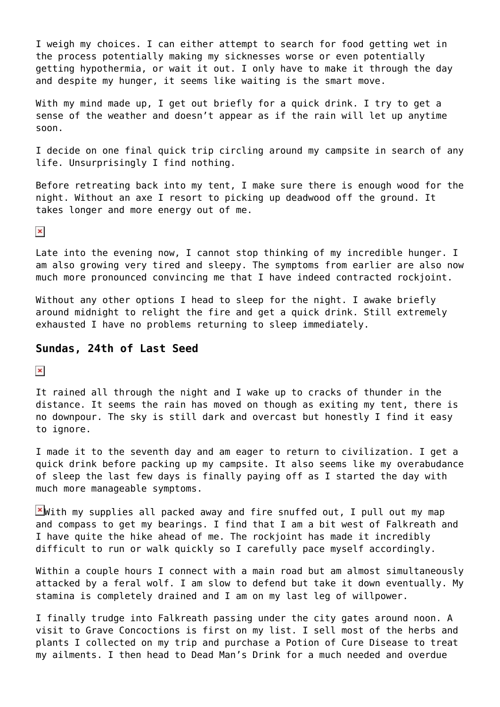I weigh my choices. I can either attempt to search for food getting wet in the process potentially making my sicknesses worse or even potentially getting hypothermia, or wait it out. I only have to make it through the day and despite my hunger, it seems like waiting is the smart move.

With my mind made up, I get out briefly for a quick drink. I try to get a sense of the weather and doesn't appear as if the rain will let up anytime soon.

I decide on one final quick trip circling around my campsite in search of any life. Unsurprisingly I find nothing.

Before retreating back into my tent, I make sure there is enough wood for the night. Without an axe I resort to picking up deadwood off the ground. It takes longer and more energy out of me.

 $\pmb{\times}$ 

Late into the evening now, I cannot stop thinking of my incredible hunger. I am also growing very tired and sleepy. The symptoms from earlier are also now much more pronounced convincing me that I have indeed contracted rockjoint.

Without any other options I head to sleep for the night. I awake briefly around midnight to relight the fire and get a quick drink. Still extremely exhausted I have no problems returning to sleep immediately.

## **Sundas, 24th of Last Seed**

 $\pmb{\times}$ 

It rained all through the night and I wake up to cracks of thunder in the distance. It seems the rain has moved on though as exiting my tent, there is no downpour. The sky is still dark and overcast but honestly I find it easy to ignore.

I made it to the seventh day and am eager to return to civilization. I get a quick drink before packing up my campsite. It also seems like my overabudance of sleep the last few days is finally paying off as I started the day with much more manageable symptoms.

 $\mathbb{X}$  with my supplies all packed away and fire snuffed out, I pull out my map and compass to get my bearings. I find that I am a bit west of Falkreath and I have quite the hike ahead of me. The rockjoint has made it incredibly difficult to run or walk quickly so I carefully pace myself accordingly.

Within a couple hours I connect with a main road but am almost simultaneously attacked by a feral wolf. I am slow to defend but take it down eventually. My stamina is completely drained and I am on my last leg of willpower.

I finally trudge into Falkreath passing under the city gates around noon. A visit to Grave Concoctions is first on my list. I sell most of the herbs and plants I collected on my trip and purchase a Potion of Cure Disease to treat my ailments. I then head to Dead Man's Drink for a much needed and overdue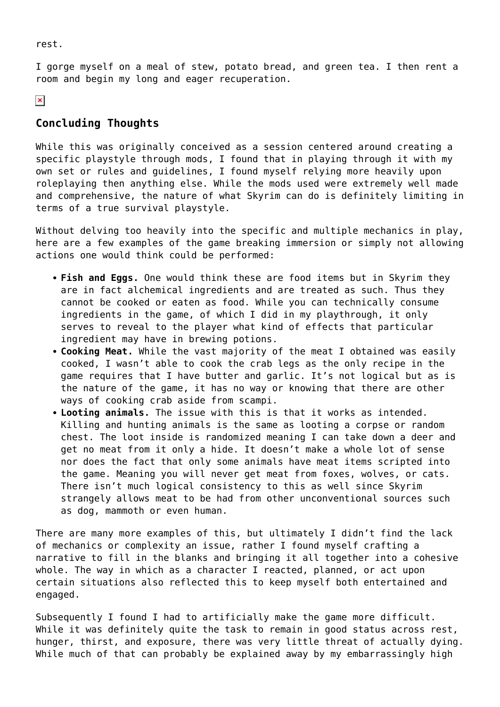rest.

I gorge myself on a meal of stew, potato bread, and green tea. I then rent a room and begin my long and eager recuperation.

 $\pmb{\times}$ 

## **Concluding Thoughts**

While this was originally conceived as a session centered around creating a specific playstyle through mods, I found that in playing through it with my own set or rules and guidelines, I found myself relying more heavily upon roleplaying then anything else. While the mods used were extremely well made and comprehensive, the nature of what Skyrim can do is definitely limiting in terms of a true survival playstyle.

Without delving too heavily into the specific and multiple mechanics in play, here are a few examples of the game breaking immersion or simply not allowing actions one would think could be performed:

- **Fish and Eggs.** One would think these are food items but in Skyrim they are in fact alchemical ingredients and are treated as such. Thus they cannot be cooked or eaten as food. While you can technically consume ingredients in the game, of which I did in my playthrough, it only serves to reveal to the player what kind of effects that particular ingredient may have in brewing potions.
- **Cooking Meat.** While the vast majority of the meat I obtained was easily cooked, I wasn't able to cook the crab legs as the only recipe in the game requires that I have butter and garlic. It's not logical but as is the nature of the game, it has no way or knowing that there are other ways of cooking crab aside from scampi.
- **Looting animals.** The issue with this is that it works as intended. Killing and hunting animals is the same as looting a corpse or random chest. The loot inside is randomized meaning I can take down a deer and get no meat from it only a hide. It doesn't make a whole lot of sense nor does the fact that only some animals have meat items scripted into the game. Meaning you will never get meat from foxes, wolves, or cats. There isn't much logical consistency to this as well since Skyrim strangely allows meat to be had from other unconventional sources such as dog, mammoth or even human.

There are many more examples of this, but ultimately I didn't find the lack of mechanics or complexity an issue, rather I found myself crafting a narrative to fill in the blanks and bringing it all together into a cohesive whole. The way in which as a character I reacted, planned, or act upon certain situations also reflected this to keep myself both entertained and engaged.

Subsequently I found I had to artificially make the game more difficult. While it was definitely quite the task to remain in good status across rest, hunger, thirst, and exposure, there was very little threat of actually dying. While much of that can probably be explained away by my embarrassingly high